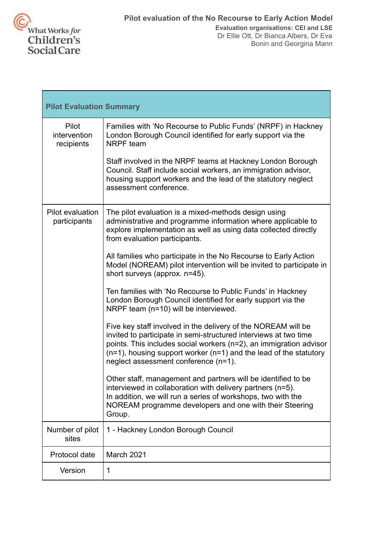

| <b>Pilot Evaluation Summary</b>     |                                                                                                                                                                                                                                                                                                                           |
|-------------------------------------|---------------------------------------------------------------------------------------------------------------------------------------------------------------------------------------------------------------------------------------------------------------------------------------------------------------------------|
| Pilot<br>intervention<br>recipients | Families with 'No Recourse to Public Funds' (NRPF) in Hackney<br>London Borough Council identified for early support via the<br>NRPF team                                                                                                                                                                                 |
|                                     | Staff involved in the NRPF teams at Hackney London Borough<br>Council. Staff include social workers, an immigration advisor,<br>housing support workers and the lead of the statutory neglect<br>assessment conference.                                                                                                   |
| Pilot evaluation<br>participants    | The pilot evaluation is a mixed-methods design using<br>administrative and programme information where applicable to<br>explore implementation as well as using data collected directly<br>from evaluation participants.                                                                                                  |
|                                     | All families who participate in the No Recourse to Early Action<br>Model (NOREAM) pilot intervention will be invited to participate in<br>short surveys (approx. n=45).                                                                                                                                                   |
|                                     | Ten families with 'No Recourse to Public Funds' in Hackney<br>London Borough Council identified for early support via the<br>NRPF team (n=10) will be interviewed.                                                                                                                                                        |
|                                     | Five key staff involved in the delivery of the NOREAM will be<br>invited to participate in semi-structured interviews at two time<br>points. This includes social workers (n=2), an immigration advisor<br>$(n=1)$ , housing support worker $(n=1)$ and the lead of the statutory<br>neglect assessment conference (n=1). |
|                                     | Other staff, management and partners will be identified to be<br>interviewed in collaboration with delivery partners (n=5).<br>In addition, we will run a series of workshops, two with the<br>NOREAM programme developers and one with their Steering<br>Group.                                                          |
| Number of pilot<br>sites            | 1 - Hackney London Borough Council                                                                                                                                                                                                                                                                                        |
| Protocol date                       | March 2021                                                                                                                                                                                                                                                                                                                |
| Version                             | 1                                                                                                                                                                                                                                                                                                                         |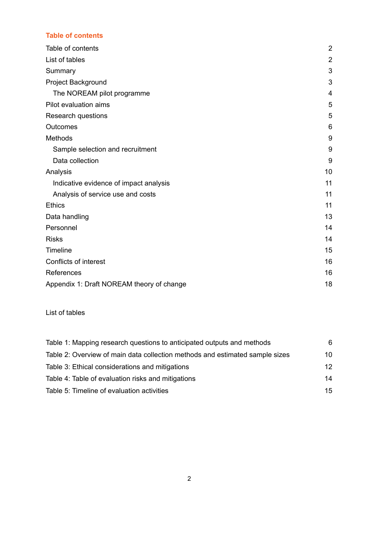# <span id="page-1-0"></span>**Table of contents**

| Table of contents                         | $\overline{2}$ |
|-------------------------------------------|----------------|
| List of tables                            | $\overline{2}$ |
| Summary                                   | 3              |
| Project Background                        | 3              |
| The NOREAM pilot programme                | 4              |
| Pilot evaluation aims                     | 5              |
| Research questions                        | 5              |
| Outcomes                                  | 6              |
| Methods                                   | 9              |
| Sample selection and recruitment          | 9              |
| Data collection                           | 9              |
| Analysis                                  | 10             |
| Indicative evidence of impact analysis    | 11             |
| Analysis of service use and costs         | 11             |
| <b>Ethics</b>                             | 11             |
| Data handling                             | 13             |
| Personnel                                 | 14             |
| <b>Risks</b>                              | 14             |
| Timeline                                  | 15             |
| Conflicts of interest                     | 16             |
| References                                | 16             |
| Appendix 1: Draft NOREAM theory of change | 18             |

# <span id="page-1-1"></span>List of tables

| Table 1: Mapping research questions to anticipated outputs and methods       | 6               |
|------------------------------------------------------------------------------|-----------------|
| Table 2: Overview of main data collection methods and estimated sample sizes | 10              |
| Table 3: Ethical considerations and mitigations                              | 12 <sup>2</sup> |
| Table 4: Table of evaluation risks and mitigations                           | 14              |
| Table 5: Timeline of evaluation activities                                   | 15              |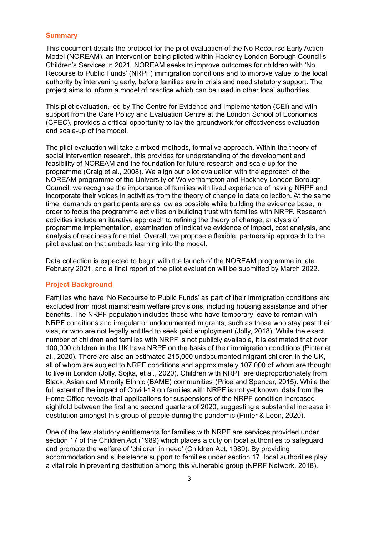#### <span id="page-2-0"></span>**Summary**

This document details the protocol for the pilot evaluation of the No Recourse Early Action Model (NOREAM), an intervention being piloted within Hackney London Borough Council's Children's Services in 2021. NOREAM seeks to improve outcomes for children with 'No Recourse to Public Funds' (NRPF) immigration conditions and to improve value to the local authority by intervening early, before families are in crisis and need statutory support. The project aims to inform a model of practice which can be used in other local authorities.

This pilot evaluation, led by The Centre for Evidence and Implementation (CEI) and with support from the Care Policy and Evaluation Centre at the London School of Economics (CPEC), provides a critical opportunity to lay the groundwork for effectiveness evaluation and scale-up of the model.

The pilot evaluation will take a mixed-methods, formative approach. Within the theory of social intervention research, this provides for understanding of the development and feasibility of NOREAM and the foundation for future research and scale up for the programme (Craig et al., 2008). We align our pilot evaluation with the approach of the NOREAM programme of the University of Wolverhampton and Hackney London Borough Council: we recognise the importance of families with lived experience of having NRPF and incorporate their voices in activities from the theory of change to data collection. At the same time, demands on participants are as low as possible while building the evidence base, in order to focus the programme activities on building trust with families with NRPF. Research activities include an iterative approach to refining the theory of change, analysis of programme implementation, examination of indicative evidence of impact, cost analysis, and analysis of readiness for a trial. Overall, we propose a flexible, partnership approach to the pilot evaluation that embeds learning into the model.

Data collection is expected to begin with the launch of the NOREAM programme in late February 2021, and a final report of the pilot evaluation will be submitted by March 2022.

#### <span id="page-2-1"></span>**Project Background**

Families who have 'No Recourse to Public Funds' as part of their immigration conditions are excluded from most mainstream welfare provisions, including housing assistance and other benefits. The NRPF population includes those who have temporary leave to remain with NRPF conditions and irregular or undocumented migrants, such as those who stay past their visa, or who are not legally entitled to seek paid employment (Jolly, 2018). While the exact number of children and families with NRPF is not publicly available, it is estimated that over 100,000 children in the UK have NRPF on the basis of their immigration conditions (Pinter et al., 2020). There are also an estimated 215,000 undocumented migrant children in the UK, all of whom are subject to NRPF conditions and approximately 107,000 of whom are thought to live in London (Jolly, Sojka, et al., 2020). Children with NRPF are disproportionately from Black, Asian and Minority Ethnic (BAME) communities (Price and Spencer, 2015). While the full extent of the impact of Covid-19 on families with NRPF is not yet known, data from the Home Office reveals that applications for suspensions of the NRPF condition increased eightfold between the first and second quarters of 2020, suggesting a substantial increase in destitution amongst this group of people during the pandemic (Pinter & Leon, 2020).

One of the few statutory entitlements for families with NRPF are services provided under section 17 of the Children Act (1989) which places a duty on local authorities to safeguard and promote the welfare of 'children in need' (Children Act, 1989). By providing accommodation and subsistence support to families under section 17, local authorities play a vital role in preventing destitution among this vulnerable group (NPRF Network, 2018).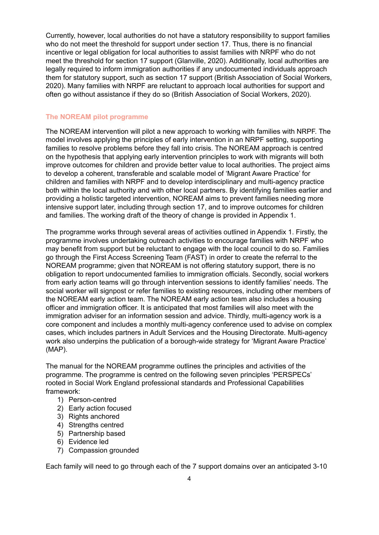Currently, however, local authorities do not have a statutory responsibility to support families who do not meet the threshold for support under section 17. Thus, there is no financial incentive or legal obligation for local authorities to assist families with NRPF who do not meet the threshold for section 17 support (Glanville, 2020). Additionally, local authorities are legally required to inform immigration authorities if any undocumented individuals approach them for statutory support, such as section 17 support (British Association of Social Workers, 2020). Many families with NRPF are reluctant to approach local authorities for support and often go without assistance if they do so (British Association of Social Workers, 2020).

## <span id="page-3-0"></span>**The NOREAM pilot programme**

The NOREAM intervention will pilot a new approach to working with families with NRPF. The model involves applying the principles of early intervention in an NRPF setting, supporting families to resolve problems before they fall into crisis. The NOREAM approach is centred on the hypothesis that applying early intervention principles to work with migrants will both improve outcomes for children and provide better value to local authorities. The project aims to develop a coherent, transferable and scalable model of 'Migrant Aware Practice' for children and families with NRPF and to develop interdisciplinary and multi-agency practice both within the local authority and with other local partners. By identifying families earlier and providing a holistic targeted intervention, NOREAM aims to prevent families needing more intensive support later, including through section 17, and to improve outcomes for children and families. The working draft of the theory of change is provided in Appendix 1.

The programme works through several areas of activities outlined in Appendix 1. Firstly, the programme involves undertaking outreach activities to encourage families with NRPF who may benefit from support but be reluctant to engage with the local council to do so. Families go through the First Access Screening Team (FAST) in order to create the referral to the NOREAM programme; given that NOREAM is not offering statutory support, there is no obligation to report undocumented families to immigration officials. Secondly, social workers from early action teams will go through intervention sessions to identify families' needs. The social worker will signpost or refer families to existing resources, including other members of the NOREAM early action team. The NOREAM early action team also includes a housing officer and immigration officer. It is anticipated that most families will also meet with the immigration adviser for an information session and advice. Thirdly, multi-agency work is a core component and includes a monthly multi-agency conference used to advise on complex cases, which includes partners in Adult Services and the Housing Directorate. Multi-agency work also underpins the publication of a borough-wide strategy for 'Migrant Aware Practice' (MAP).

The manual for the NOREAM programme outlines the principles and activities of the programme. The programme is centred on the following seven principles 'PERSPECs' rooted in Social Work England professional standards and Professional Capabilities framework:

- 1) Person-centred
- 2) Early action focused
- 3) Rights anchored
- 4) Strengths centred
- 5) Partnership based
- 6) Evidence led
- 7) Compassion grounded

Each family will need to go through each of the 7 support domains over an anticipated 3-10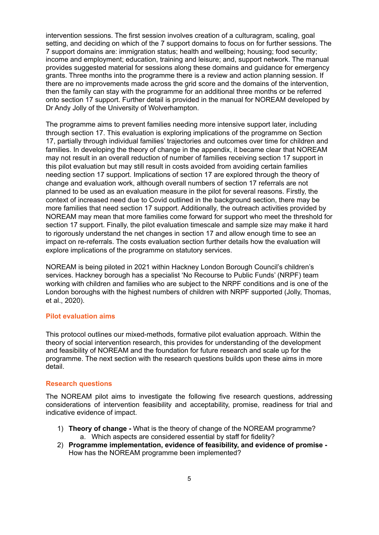intervention sessions. The first session involves creation of a culturagram, scaling, goal setting, and deciding on which of the 7 support domains to focus on for further sessions. The 7 support domains are: immigration status; health and wellbeing; housing; food security; income and employment; education, training and leisure; and, support network. The manual provides suggested material for sessions along these domains and guidance for emergency grants. Three months into the programme there is a review and action planning session. If there are no improvements made across the grid score and the domains of the intervention, then the family can stay with the programme for an additional three months or be referred onto section 17 support. Further detail is provided in the manual for NOREAM developed by Dr Andy Jolly of the University of Wolverhampton.

The programme aims to prevent families needing more intensive support later, including through section 17. This evaluation is exploring implications of the programme on Section 17, partially through individual families' trajectories and outcomes over time for children and families. In developing the theory of change in the appendix, it became clear that NOREAM may not result in an overall reduction of number of families receiving section 17 support in this pilot evaluation but may still result in costs avoided from avoiding certain families needing section 17 support. Implications of section 17 are explored through the theory of change and evaluation work, although overall numbers of section 17 referrals are not planned to be used as an evaluation measure in the pilot for several reasons. Firstly, the context of increased need due to Covid outlined in the background section, there may be more families that need section 17 support. Additionally, the outreach activities provided by NOREAM may mean that more families come forward for support who meet the threshold for section 17 support. Finally, the pilot evaluation timescale and sample size may make it hard to rigorously understand the net changes in section 17 and allow enough time to see an impact on re-referrals. The costs evaluation section further details how the evaluation will explore implications of the programme on statutory services.

NOREAM is being piloted in 2021 within Hackney London Borough Council's children's services. Hackney borough has a specialist 'No Recourse to Public Funds' (NRPF) team working with children and families who are subject to the NRPF conditions and is one of the London boroughs with the highest numbers of children with NRPF supported (Jolly, Thomas, et al., 2020).

## <span id="page-4-0"></span>**Pilot evaluation aims**

This protocol outlines our mixed-methods, formative pilot evaluation approach. Within the theory of social intervention research, this provides for understanding of the development and feasibility of NOREAM and the foundation for future research and scale up for the programme. The next section with the research questions builds upon these aims in more detail.

#### <span id="page-4-1"></span>**Research questions**

The NOREAM pilot aims to investigate the following five research questions, addressing considerations of intervention feasibility and acceptability, promise, readiness for trial and indicative evidence of impact.

- 1) **Theory of change -** What is the theory of change of the NOREAM programme? a. Which aspects are considered essential by staff for fidelity?
- 2) **Programme implementation, evidence of feasibility, and evidence of promise -** How has the NOREAM programme been implemented?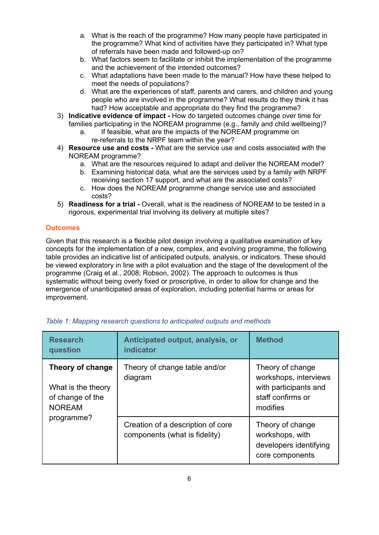- a. What is the reach of the programme? How many people have participated in the programme? What kind of activities have they participated in? What type of referrals have been made and followed-up on?
- b. What factors seem to facilitate or inhibit the implementation of the programme and the achievement of the intended outcomes?
- c. What adaptations have been made to the manual? How have these helped to meet the needs of populations?
- d. What are the experiences of staff, parents and carers, and children and young people who are involved in the programme? What results do they think it has had? How acceptable and appropriate do they find the programme?
- 3) **Indicative evidence of impact -** How do targeted outcomes change over time for families participating in the NOREAM programme (e.g., family and child wellbeing)?
	- a. If feasible, what are the impacts of the NOREAM programme on re-referrals to the NRPF team within the year?
- 4) **Resource use and costs -** What are the service use and costs associated with the NOREAM programme?
	- a. What are the resources required to adapt and deliver the NOREAM model?
	- b. Examining historical data, what are the services used by a family with NRPF receiving section 17 support, and what are the associated costs?
	- c. How does the NOREAM programme change service use and associated costs?
- 5) **Readiness for a trial -** Overall, what is the readiness of NOREAM to be tested in a rigorous, experimental trial involving its delivery at multiple sites?

# <span id="page-5-0"></span>**Outcomes**

Given that this research is a flexible pilot design involving a qualitative examination of key concepts for the implementation of a new, complex, and evolving programme, the following table provides an indicative list of anticipated outputs, analysis, or indicators. These should be viewed exploratory in line with a pilot evaluation and the stage of the development of the programme (Craig et al., 2008; Robson, 2002). The approach to outcomes is thus systematic without being overly fixed or proscriptive, in order to allow for change and the emergence of unanticipated areas of exploration, including potential harms or areas for improvement.

| <b>Research</b><br>question                                                 | Anticipated output, analysis, or<br><b>indicator</b>               | <b>Method</b>                                                                                       |
|-----------------------------------------------------------------------------|--------------------------------------------------------------------|-----------------------------------------------------------------------------------------------------|
| Theory of change<br>What is the theory<br>of change of the<br><b>NOREAM</b> | Theory of change table and/or<br>diagram                           | Theory of change<br>workshops, interviews<br>with participants and<br>staff confirms or<br>modifies |
| programme?                                                                  | Creation of a description of core<br>components (what is fidelity) | Theory of change<br>workshops, with<br>developers identifying<br>core components                    |

<span id="page-5-1"></span>

| Table 1: Mapping research questions to anticipated outputs and methods |  |  |  |  |
|------------------------------------------------------------------------|--|--|--|--|
|                                                                        |  |  |  |  |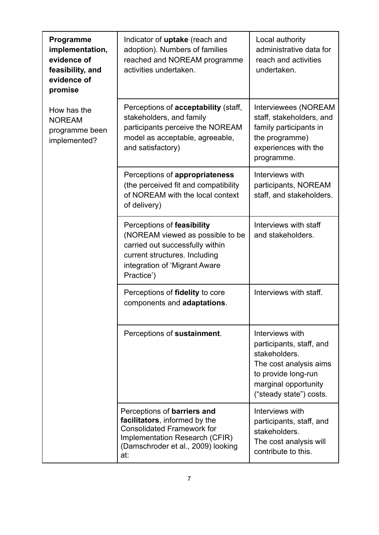| Programme<br>implementation,<br>evidence of<br>feasibility, and<br>evidence of<br>promise | Indicator of uptake (reach and<br>adoption). Numbers of families<br>reached and NOREAM programme<br>activities undertaken.                                                        | Local authority<br>administrative data for<br>reach and activities<br>undertaken.                                                                                |  |
|-------------------------------------------------------------------------------------------|-----------------------------------------------------------------------------------------------------------------------------------------------------------------------------------|------------------------------------------------------------------------------------------------------------------------------------------------------------------|--|
| How has the<br><b>NOREAM</b><br>programme been<br>implemented?                            | Perceptions of <b>acceptability</b> (staff,<br>stakeholders, and family<br>participants perceive the NOREAM<br>model as acceptable, agreeable,<br>and satisfactory)               | Interviewees (NOREAM<br>staff, stakeholders, and<br>family participants in<br>the programme)<br>experiences with the<br>programme.                               |  |
|                                                                                           | Perceptions of appropriateness<br>(the perceived fit and compatibility<br>of NOREAM with the local context<br>of delivery)                                                        | Interviews with<br>participants, NOREAM<br>staff, and stakeholders.                                                                                              |  |
|                                                                                           | Perceptions of feasibility<br>(NOREAM viewed as possible to be<br>carried out successfully within<br>current structures. Including<br>integration of 'Migrant Aware<br>Practice') | Interviews with staff<br>and stakeholders.                                                                                                                       |  |
|                                                                                           | Perceptions of fidelity to core<br>components and adaptations.                                                                                                                    | Interviews with staff.                                                                                                                                           |  |
|                                                                                           | Perceptions of sustainment.                                                                                                                                                       | Interviews with<br>participants, staff, and<br>stakeholders.<br>The cost analysis aims<br>to provide long-run<br>marginal opportunity<br>("steady state") costs. |  |
|                                                                                           | Perceptions of barriers and<br>facilitators, informed by the<br><b>Consolidated Framework for</b><br>Implementation Research (CFIR)<br>(Damschroder et al., 2009) looking<br>at:  | Interviews with<br>participants, staff, and<br>stakeholders.<br>The cost analysis will<br>contribute to this.                                                    |  |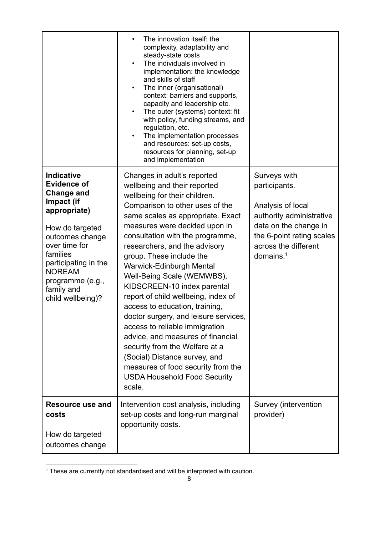|                                                                                                                                                                                                                                                               | The innovation itself: the<br>complexity, adaptability and<br>steady-state costs<br>The individuals involved in<br>$\bullet$<br>implementation: the knowledge<br>and skills of staff<br>The inner (organisational)<br>٠<br>context: barriers and supports,<br>capacity and leadership etc.<br>The outer (systems) context: fit<br>with policy, funding streams, and<br>regulation, etc.<br>The implementation processes<br>and resources: set-up costs,<br>resources for planning, set-up<br>and implementation                                                                                                                                                                                                                                    |                                                                                                                                                                              |
|---------------------------------------------------------------------------------------------------------------------------------------------------------------------------------------------------------------------------------------------------------------|----------------------------------------------------------------------------------------------------------------------------------------------------------------------------------------------------------------------------------------------------------------------------------------------------------------------------------------------------------------------------------------------------------------------------------------------------------------------------------------------------------------------------------------------------------------------------------------------------------------------------------------------------------------------------------------------------------------------------------------------------|------------------------------------------------------------------------------------------------------------------------------------------------------------------------------|
| <b>Indicative</b><br><b>Evidence of</b><br><b>Change and</b><br>Impact (if<br>appropriate)<br>How do targeted<br>outcomes change<br>over time for<br>families<br>participating in the<br><b>NOREAM</b><br>programme (e.g.,<br>family and<br>child wellbeing)? | Changes in adult's reported<br>wellbeing and their reported<br>wellbeing for their children.<br>Comparison to other uses of the<br>same scales as appropriate. Exact<br>measures were decided upon in<br>consultation with the programme,<br>researchers, and the advisory<br>group. These include the<br>Warwick-Edinburgh Mental<br>Well-Being Scale (WEMWBS),<br>KIDSCREEN-10 index parental<br>report of child wellbeing, index of<br>access to education, training,<br>doctor surgery, and leisure services,<br>access to reliable immigration<br>advice, and measures of financial<br>security from the Welfare at a<br>(Social) Distance survey, and<br>measures of food security from the<br><b>USDA Household Food Security</b><br>scale. | Surveys with<br>participants.<br>Analysis of local<br>authority administrative<br>data on the change in<br>the 6-point rating scales<br>across the different<br>domains. $1$ |
| Resource use and<br>costs<br>How do targeted<br>outcomes change                                                                                                                                                                                               | Intervention cost analysis, including<br>set-up costs and long-run marginal<br>opportunity costs.                                                                                                                                                                                                                                                                                                                                                                                                                                                                                                                                                                                                                                                  | Survey (intervention<br>provider)                                                                                                                                            |

<sup>&</sup>lt;sup>1</sup> These are currently not standardised and will be interpreted with caution.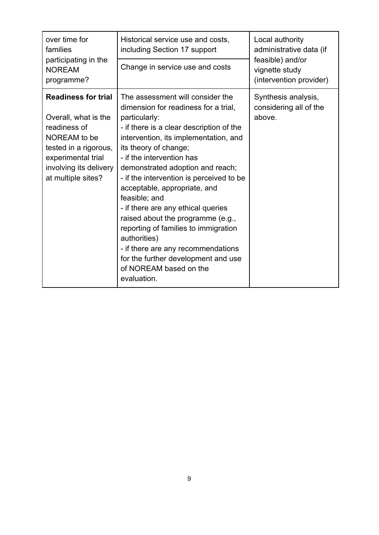| over time for<br>families<br>participating in the<br><b>NOREAM</b><br>programme?                                                                                                  | Historical service use and costs,<br>including Section 17 support<br>Change in service use and costs                                                                                                                                                                                                                                                                                                                                                                                                                                                                                                                           | Local authority<br>administrative data (if<br>feasible) and/or<br>vignette study<br>(intervention provider) |
|-----------------------------------------------------------------------------------------------------------------------------------------------------------------------------------|--------------------------------------------------------------------------------------------------------------------------------------------------------------------------------------------------------------------------------------------------------------------------------------------------------------------------------------------------------------------------------------------------------------------------------------------------------------------------------------------------------------------------------------------------------------------------------------------------------------------------------|-------------------------------------------------------------------------------------------------------------|
| <b>Readiness for trial</b><br>Overall, what is the<br>readiness of<br>NOREAM to be<br>tested in a rigorous,<br>experimental trial<br>involving its delivery<br>at multiple sites? | The assessment will consider the<br>dimension for readiness for a trial,<br>particularly:<br>- if there is a clear description of the<br>intervention, its implementation, and<br>its theory of change;<br>- if the intervention has<br>demonstrated adoption and reach;<br>- if the intervention is perceived to be<br>acceptable, appropriate, and<br>feasible; and<br>- if there are any ethical queries<br>raised about the programme (e.g.,<br>reporting of families to immigration<br>authorities)<br>- if there are any recommendations<br>for the further development and use<br>of NOREAM based on the<br>evaluation. | Synthesis analysis,<br>considering all of the<br>above.                                                     |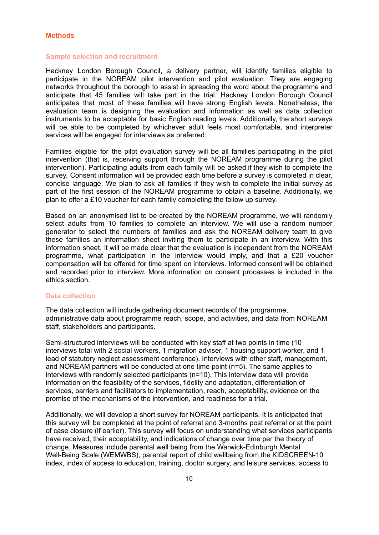#### <span id="page-9-0"></span>**Methods**

#### <span id="page-9-1"></span>**Sample selection and recruitment**

Hackney London Borough Council, a delivery partner, will identify families eligible to participate in the NOREAM pilot intervention and pilot evaluation. They are engaging networks throughout the borough to assist in spreading the word about the programme and anticipate that 45 families will take part in the trial. Hackney London Borough Council anticipates that most of these families will have strong English levels. Nonetheless, the evaluation team is designing the evaluation and information as well as data collection instruments to be acceptable for basic English reading levels. Additionally, the short surveys will be able to be completed by whichever adult feels most comfortable, and interpreter services will be engaged for interviews as preferred.

Families eligible for the pilot evaluation survey will be all families participating in the pilot intervention (that is, receiving support through the NOREAM programme during the pilot intervention). Participating adults from each family will be asked if they wish to complete the survey. Consent information will be provided each time before a survey is completed in clear, concise language. We plan to ask all families if they wish to complete the initial survey as part of the first session of the NOREAM programme to obtain a baseline. Additionally, we plan to offer a £10 voucher for each family completing the follow up survey.

Based on an anonymised list to be created by the NOREAM programme, we will randomly select adults from 10 families to complete an interview. We will use a random number generator to select the numbers of families and ask the NOREAM delivery team to give these families an information sheet inviting them to participate in an interview. With this information sheet, it will be made clear that the evaluation is independent from the NOREAM programme, what participation in the interview would imply, and that a £20 voucher compensation will be offered for time spent on interviews. Informed consent will be obtained and recorded prior to interview. More information on consent processes is included in the ethics section.

#### <span id="page-9-2"></span>**Data collection**

The data collection will include gathering document records of the programme, administrative data about programme reach, scope, and activities, and data from NOREAM staff, stakeholders and participants.

Semi-structured interviews will be conducted with key staff at two points in time (10 interviews total with 2 social workers, 1 migration adviser, 1 housing support worker, and 1 lead of statutory neglect assessment conference). Interviews with other staff, management, and NOREAM partners will be conducted at one time point (n=5). The same applies to interviews with randomly selected participants (n=10). This interview data will provide information on the feasibility of the services, fidelity and adaptation, differentiation of services, barriers and facilitators to implementation, reach, acceptability, evidence on the promise of the mechanisms of the intervention, and readiness for a trial.

Additionally, we will develop a short survey for NOREAM participants. It is anticipated that this survey will be completed at the point of referral and 3-months post referral or at the point of case closure (if earlier). This survey will focus on understanding what services participants have received, their acceptability, and indications of change over time per the theory of change. Measures include parental well being from the Warwick-Edinburgh Mental Well-Being Scale (WEMWBS), parental report of child wellbeing from the KIDSCREEN-10 index, index of access to education, training, doctor surgery, and leisure services, access to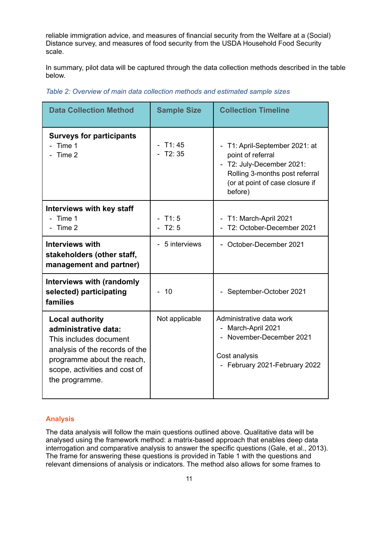reliable immigration advice, and measures of financial security from the Welfare at a (Social) Distance survey, and measures of food security from the USDA Household Food Security scale.

In summary, pilot data will be captured through the data collection methods described in the table below.

| <b>Data Collection Method</b>                                                                                                                                                               | <b>Sample Size</b> | <b>Collection Timeline</b>                                                                                                                                       |
|---------------------------------------------------------------------------------------------------------------------------------------------------------------------------------------------|--------------------|------------------------------------------------------------------------------------------------------------------------------------------------------------------|
| <b>Surveys for participants</b><br>Time 1<br>Time 2                                                                                                                                         | T1:45<br>T2:35     | - T1: April-September 2021: at<br>point of referral<br>- T2: July-December 2021:<br>Rolling 3-months post referral<br>(or at point of case closure if<br>before) |
| <b>Interviews with key staff</b><br>Time 1<br>Time 2                                                                                                                                        | T1:5<br>T2:5       | - T1: March-April 2021<br>T2: October-December 2021                                                                                                              |
| <b>Interviews with</b><br>stakeholders (other staff,<br>management and partner)                                                                                                             | 5 interviews       | - October-December 2021                                                                                                                                          |
| <b>Interviews with (randomly</b><br>selected) participating<br>families                                                                                                                     | 10                 | - September-October 2021                                                                                                                                         |
| <b>Local authority</b><br>administrative data:<br>This includes document<br>analysis of the records of the<br>programme about the reach,<br>scope, activities and cost of<br>the programme. | Not applicable     | Administrative data work<br>- March-April 2021<br>- November-December 2021<br>Cost analysis<br>- February 2021-February 2022                                     |

<span id="page-10-1"></span>*Table 2: Overview of main data collection methods and estimated sample sizes*

## <span id="page-10-0"></span>**Analysis**

The data analysis will follow the main questions outlined above. Qualitative data will be analysed using the framework method: a matrix-based approach that enables deep data interrogation and comparative analysis to answer the specific questions (Gale, et al., 2013). The frame for answering these questions is provided in Table 1 with the questions and relevant dimensions of analysis or indicators. The method also allows for some frames to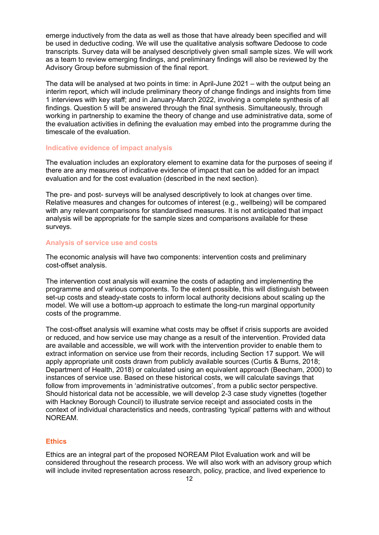emerge inductively from the data as well as those that have already been specified and will be used in deductive coding. We will use the qualitative analysis software Dedoose to code transcripts. Survey data will be analysed descriptively given small sample sizes. We will work as a team to review emerging findings, and preliminary findings will also be reviewed by the Advisory Group before submission of the final report.

The data will be analysed at two points in time: in April-June 2021 – with the output being an interim report, which will include preliminary theory of change findings and insights from time 1 interviews with key staff; and in January-March 2022, involving a complete synthesis of all findings. Question 5 will be answered through the final synthesis. Simultaneously, through working in partnership to examine the theory of change and use administrative data, some of the evaluation activities in defining the evaluation may embed into the programme during the timescale of the evaluation.

#### <span id="page-11-0"></span>**Indicative evidence of impact analysis**

The evaluation includes an exploratory element to examine data for the purposes of seeing if there are any measures of indicative evidence of impact that can be added for an impact evaluation and for the cost evaluation (described in the next section).

The pre- and post- surveys will be analysed descriptively to look at changes over time. Relative measures and changes for outcomes of interest (e.g., wellbeing) will be compared with any relevant comparisons for standardised measures. It is not anticipated that impact analysis will be appropriate for the sample sizes and comparisons available for these surveys.

#### <span id="page-11-1"></span>**Analysis of service use and costs**

The economic analysis will have two components: intervention costs and preliminary cost-offset analysis.

The intervention cost analysis will examine the costs of adapting and implementing the programme and of various components. To the extent possible, this will distinguish between set-up costs and steady-state costs to inform local authority decisions about scaling up the model. We will use a bottom-up approach to estimate the long-run marginal opportunity costs of the programme.

The cost-offset analysis will examine what costs may be offset if crisis supports are avoided or reduced, and how service use may change as a result of the intervention. Provided data are available and accessible, we will work with the intervention provider to enable them to extract information on service use from their records, including Section 17 support. We will apply appropriate unit costs drawn from publicly available sources (Curtis & Burns, 2018; Department of Health, 2018) or calculated using an equivalent approach (Beecham, 2000) to instances of service use. Based on these historical costs, we will calculate savings that follow from improvements in 'administrative outcomes', from a public sector perspective. Should historical data not be accessible, we will develop 2-3 case study vignettes (together with Hackney Borough Council) to illustrate service receipt and associated costs in the context of individual characteristics and needs, contrasting 'typical' patterns with and without NOREAM.

## <span id="page-11-2"></span>**Ethics**

Ethics are an integral part of the proposed NOREAM Pilot Evaluation work and will be considered throughout the research process. We will also work with an advisory group which will include invited representation across research, policy, practice, and lived experience to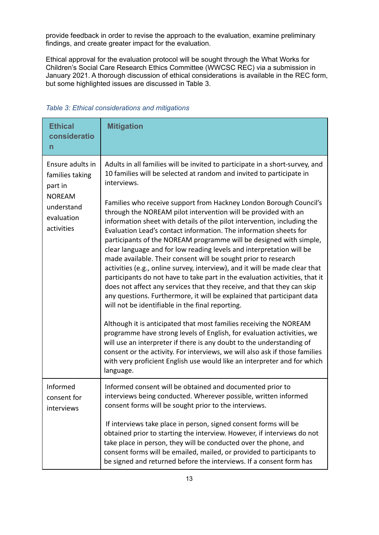provide feedback in order to revise the approach to the evaluation, examine preliminary findings, and create greater impact for the evaluation.

Ethical approval for the evaluation protocol will be sought through the What Works for Children's Social Care Research Ethics Committee (WWCSC REC) via a submission in January 2021. A thorough discussion of ethical considerations is available in the REC form, but some highlighted issues are discussed in Table 3.

<span id="page-12-0"></span>*Table 3: Ethical considerations and mitigations*

| <b>Ethical</b><br>consideratio<br>n                                                                       | <b>Mitigation</b>                                                                                                                                                                                                                                                                                                                                                                                                                                                                                                                                                                                                                                                                                                                                                                                                                                                                                                                                                                                                                                 |
|-----------------------------------------------------------------------------------------------------------|---------------------------------------------------------------------------------------------------------------------------------------------------------------------------------------------------------------------------------------------------------------------------------------------------------------------------------------------------------------------------------------------------------------------------------------------------------------------------------------------------------------------------------------------------------------------------------------------------------------------------------------------------------------------------------------------------------------------------------------------------------------------------------------------------------------------------------------------------------------------------------------------------------------------------------------------------------------------------------------------------------------------------------------------------|
| Ensure adults in<br>families taking<br>part in<br><b>NOREAM</b><br>understand<br>evaluation<br>activities | Adults in all families will be invited to participate in a short-survey, and<br>10 families will be selected at random and invited to participate in<br>interviews.<br>Families who receive support from Hackney London Borough Council's<br>through the NOREAM pilot intervention will be provided with an<br>information sheet with details of the pilot intervention, including the<br>Evaluation Lead's contact information. The information sheets for<br>participants of the NOREAM programme will be designed with simple,<br>clear language and for low reading levels and interpretation will be<br>made available. Their consent will be sought prior to research<br>activities (e.g., online survey, interview), and it will be made clear that<br>participants do not have to take part in the evaluation activities, that it<br>does not affect any services that they receive, and that they can skip<br>any questions. Furthermore, it will be explained that participant data<br>will not be identifiable in the final reporting. |
|                                                                                                           | Although it is anticipated that most families receiving the NOREAM<br>programme have strong levels of English, for evaluation activities, we<br>will use an interpreter if there is any doubt to the understanding of<br>consent or the activity. For interviews, we will also ask if those families<br>with very proficient English use would like an interpreter and for which<br>language.                                                                                                                                                                                                                                                                                                                                                                                                                                                                                                                                                                                                                                                     |
| Informed<br>consent for<br>interviews                                                                     | Informed consent will be obtained and documented prior to<br>interviews being conducted. Wherever possible, written informed<br>consent forms will be sought prior to the interviews.                                                                                                                                                                                                                                                                                                                                                                                                                                                                                                                                                                                                                                                                                                                                                                                                                                                             |
|                                                                                                           | If interviews take place in person, signed consent forms will be<br>obtained prior to starting the interview. However, if interviews do not<br>take place in person, they will be conducted over the phone, and<br>consent forms will be emailed, mailed, or provided to participants to<br>be signed and returned before the interviews. If a consent form has                                                                                                                                                                                                                                                                                                                                                                                                                                                                                                                                                                                                                                                                                   |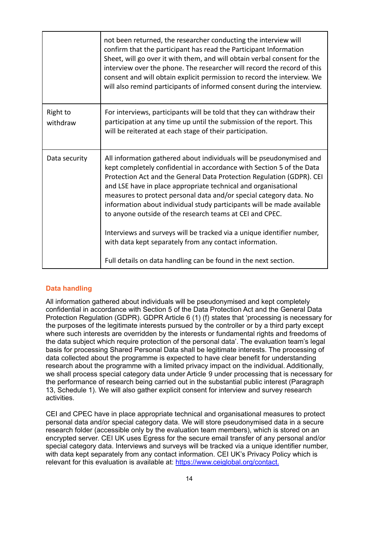|                      | not been returned, the researcher conducting the interview will<br>confirm that the participant has read the Participant Information<br>Sheet, will go over it with them, and will obtain verbal consent for the<br>interview over the phone. The researcher will record the record of this<br>consent and will obtain explicit permission to record the interview. We<br>will also remind participants of informed consent during the interview.                                                                                                                                                                                                                                                            |
|----------------------|--------------------------------------------------------------------------------------------------------------------------------------------------------------------------------------------------------------------------------------------------------------------------------------------------------------------------------------------------------------------------------------------------------------------------------------------------------------------------------------------------------------------------------------------------------------------------------------------------------------------------------------------------------------------------------------------------------------|
| Right to<br>withdraw | For interviews, participants will be told that they can withdraw their<br>participation at any time up until the submission of the report. This<br>will be reiterated at each stage of their participation.                                                                                                                                                                                                                                                                                                                                                                                                                                                                                                  |
| Data security        | All information gathered about individuals will be pseudonymised and<br>kept completely confidential in accordance with Section 5 of the Data<br>Protection Act and the General Data Protection Regulation (GDPR). CEI<br>and LSE have in place appropriate technical and organisational<br>measures to protect personal data and/or special category data. No<br>information about individual study participants will be made available<br>to anyone outside of the research teams at CEI and CPEC.<br>Interviews and surveys will be tracked via a unique identifier number,<br>with data kept separately from any contact information.<br>Full details on data handling can be found in the next section. |

## <span id="page-13-0"></span>**Data handling**

All information gathered about individuals will be pseudonymised and kept completely confidential in accordance with Section 5 of the Data Protection Act and the General Data Protection Regulation (GDPR). GDPR Article 6 (1) (f) states that 'processing is necessary for the purposes of the legitimate interests pursued by the controller or by a third party except where such interests are overridden by the interests or fundamental rights and freedoms of the data subject which require protection of the personal data'. The evaluation team's legal basis for processing Shared Personal Data shall be legitimate interests. The processing of data collected about the programme is expected to have clear benefit for understanding research about the programme with a limited privacy impact on the individual. Additionally, we shall process special category data under Article 9 under processing that is necessary for the performance of research being carried out in the substantial public interest (Paragraph 13, Schedule 1). We will also gather explicit consent for interview and survey research activities.

CEI and CPEC have in place appropriate technical and organisational measures to protect personal data and/or special category data. We will store pseudonymised data in a secure research folder (accessible only by the evaluation team members), which is stored on an encrypted server. CEI UK uses Egress for the secure email transfer of any personal and/or special category data. Interviews and surveys will be tracked via a unique identifier number, with data kept separately from any contact information. CEI UK's Privacy Policy which is relevant for this evaluation is available at: <https://www.ceiglobal.org/contact>.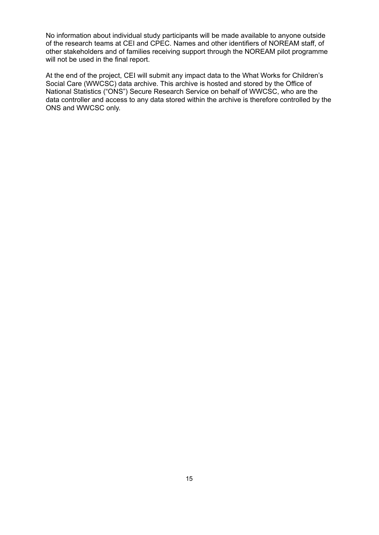No information about individual study participants will be made available to anyone outside of the research teams at CEI and CPEC. Names and other identifiers of NOREAM staff, of other stakeholders and of families receiving support through the NOREAM pilot programme will not be used in the final report.

At the end of the project, CEI will submit any impact data to the What Works for Children's Social Care (WWCSC) data archive. This archive is hosted and stored by the Office of National Statistics ("ONS") Secure Research Service on behalf of WWCSC, who are the data controller and access to any data stored within the archive is therefore controlled by the ONS and WWCSC only.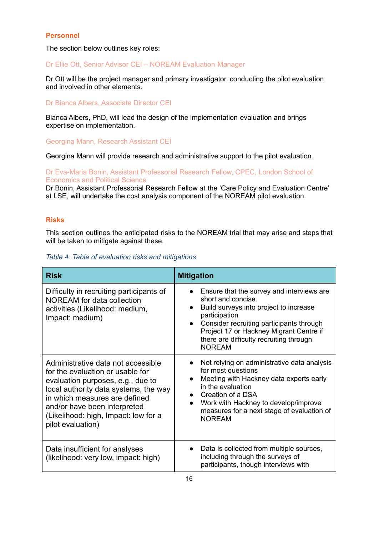## <span id="page-15-0"></span>**Personnel**

The section below outlines key roles:

Dr Ellie Ott, Senior Advisor CEI – NOREAM Evaluation Manager

Dr Ott will be the project manager and primary investigator, conducting the pilot evaluation and involved in other elements.

Dr Bianca Albers, Associate Director CEI

Bianca Albers, PhD, will lead the design of the implementation evaluation and brings expertise on implementation.

Georgina Mann, Research Assistant CEI

Georgina Mann will provide research and administrative support to the pilot evaluation.

Dr Eva-Maria Bonin, Assistant Professorial Research Fellow, CPEC, London School of Economics and Political Science

Dr Bonin, Assistant Professorial Research Fellow at the 'Care Policy and Evaluation Centre' at LSE, will undertake the cost analysis component of the NOREAM pilot evaluation.

## <span id="page-15-1"></span>**Risks**

This section outlines the anticipated risks to the NOREAM trial that may arise and steps that will be taken to mitigate against these.

<span id="page-15-2"></span>

|  |  |  |  | Table 4: Table of evaluation risks and mitigations |
|--|--|--|--|----------------------------------------------------|
|--|--|--|--|----------------------------------------------------|

| <b>Risk</b>                                                                                                                                                                                                                                                                        | <b>Mitigation</b>                                                                                                                                                                                                                                                                                      |
|------------------------------------------------------------------------------------------------------------------------------------------------------------------------------------------------------------------------------------------------------------------------------------|--------------------------------------------------------------------------------------------------------------------------------------------------------------------------------------------------------------------------------------------------------------------------------------------------------|
| Difficulty in recruiting participants of<br><b>NOREAM</b> for data collection<br>activities (Likelihood: medium,<br>Impact: medium)                                                                                                                                                | Ensure that the survey and interviews are<br>short and concise<br>Build surveys into project to increase<br>$\bullet$<br>participation<br>Consider recruiting participants through<br>$\bullet$<br>Project 17 or Hackney Migrant Centre if<br>there are difficulty recruiting through<br><b>NOREAM</b> |
| Administrative data not accessible<br>for the evaluation or usable for<br>evaluation purposes, e.g., due to<br>local authority data systems, the way<br>in which measures are defined<br>and/or have been interpreted<br>(Likelihood: high, Impact: low for a<br>pilot evaluation) | Not relying on administrative data analysis<br>for most questions<br>Meeting with Hackney data experts early<br>in the evaluation<br>Creation of a DSA<br>Work with Hackney to develop/improve<br>$\bullet$<br>measures for a next stage of evaluation of<br><b>NOREAM</b>                             |
| Data insufficient for analyses<br>(likelihood: very low, impact: high)                                                                                                                                                                                                             | Data is collected from multiple sources,<br>including through the surveys of<br>participants, though interviews with                                                                                                                                                                                   |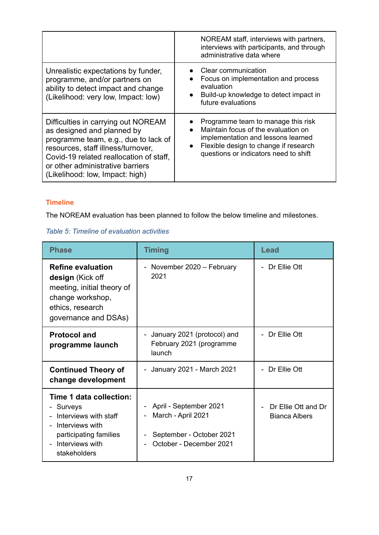|                                                                                                                                                                                                                                                                   | NOREAM staff, interviews with partners,<br>interviews with participants, and through<br>administrative data where                                                                                                           |
|-------------------------------------------------------------------------------------------------------------------------------------------------------------------------------------------------------------------------------------------------------------------|-----------------------------------------------------------------------------------------------------------------------------------------------------------------------------------------------------------------------------|
| Unrealistic expectations by funder,<br>programme, and/or partners on<br>ability to detect impact and change<br>(Likelihood: very low, Impact: low)                                                                                                                | Clear communication<br>Focus on implementation and process<br>$\bullet$<br>evaluation<br>Build-up knowledge to detect impact in<br>future evaluations                                                                       |
| Difficulties in carrying out NOREAM<br>as designed and planned by<br>programme team, e.g., due to lack of<br>resources, staff illness/turnover,<br>Covid-19 related reallocation of staff.<br>or other administrative barriers<br>(Likelihood: low, Impact: high) | Programme team to manage this risk<br>Maintain focus of the evaluation on<br>$\bullet$<br>implementation and lessons learned<br>Flexible design to change if research<br>$\bullet$<br>questions or indicators need to shift |

# <span id="page-16-0"></span>**Timeline**

The NOREAM evaluation has been planned to follow the below timeline and milestones.

# <span id="page-16-1"></span>*Table 5: Timeline of evaluation activities*

| <b>Phase</b>                                                                                                                                                                                                                                         | <b>Timing</b>                                                     | Lead                                 |  |
|------------------------------------------------------------------------------------------------------------------------------------------------------------------------------------------------------------------------------------------------------|-------------------------------------------------------------------|--------------------------------------|--|
| <b>Refine evaluation</b><br>design (Kick off<br>meeting, initial theory of<br>change workshop,<br>ethics, research<br>governance and DSAs)                                                                                                           | November 2020 - February<br>2021                                  | - Dr Ellie Ott                       |  |
| <b>Protocol and</b><br>programme launch                                                                                                                                                                                                              | January 2021 (protocol) and<br>February 2021 (programme<br>launch | Dr Ellie Ott                         |  |
| <b>Continued Theory of</b><br>change development                                                                                                                                                                                                     | - January 2021 - March 2021                                       | - Dr Ellie Ott                       |  |
| Time 1 data collection:<br>April - September 2021<br>- Surveys<br>March - April 2021<br>Interviews with staff<br>Interviews with<br>participating families<br>September - October 2021<br>October - December 2021<br>Interviews with<br>stakeholders |                                                                   | Dr Ellie Ott and Dr<br>Bianca Albers |  |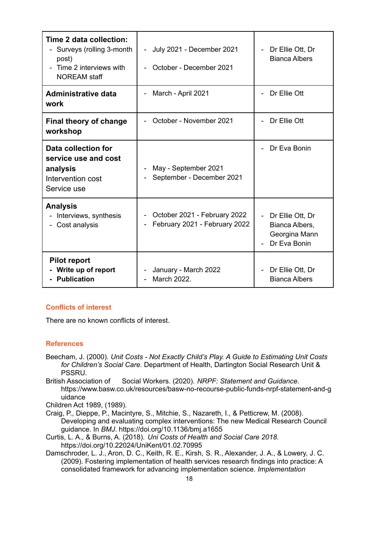| Time 2 data collection:<br>Surveys (rolling 3-month<br>post)<br>Time 2 interviews with<br><b>NOREAM</b> staff | July 2021 - December 2021<br>$\overline{\phantom{0}}$<br>October - December 2021 | Dr Ellie Ott, Dr<br>$\overline{\phantom{a}}$<br><b>Bianca Albers</b>                |
|---------------------------------------------------------------------------------------------------------------|----------------------------------------------------------------------------------|-------------------------------------------------------------------------------------|
| <b>Administrative data</b><br>work                                                                            | March - April 2021                                                               | Dr Ellie Ott                                                                        |
| <b>Final theory of change</b><br>workshop                                                                     | October - November 2021                                                          | Dr Ellie Ott                                                                        |
| Data collection for<br>service use and cost<br>analysis<br>Intervention cost<br>Service use                   | May - September 2021<br>September - December 2021                                | Dr Eva Bonin                                                                        |
| <b>Analysis</b><br>Interviews, synthesis<br>Cost analysis                                                     | October 2021 - February 2022<br>February 2021 - February 2022                    | Dr Ellie Ott, Dr<br>$\mathbf{r}$<br>Bianca Albers,<br>Georgina Mann<br>Dr Eva Bonin |
| <b>Pilot report</b><br>- Write up of report<br><b>Publication</b>                                             | January - March 2022<br>March 2022.                                              | Dr Ellie Ott, Dr<br>$\overline{\phantom{m}}$<br><b>Bianca Albers</b>                |

## <span id="page-17-0"></span>**Conflicts of interest**

<span id="page-17-1"></span>There are no known conflicts of interest.

#### **References**

- Beecham, J. (2000). *Unit Costs - Not Exactly Child's Play. A Guide to Estimating Unit Costs for Children's Social Care.* Department of Health, Dartington Social Research Unit & PSSRU.
- British Association of Social Workers. (2020). *NRPF: Statement and Guidance*. https://www.basw.co.uk/resources/basw-no-recourse-public-funds-nrpf-statement-and-g uidance

Children Act 1989, (1989).

- Craig, P., Dieppe, P., Macintyre, S., Mitchie, S., Nazareth, I., & Petticrew, M. (2008). Developing and evaluating complex interventions: The new Medical Research Council guidance. In *BMJ*. https://doi.org/10.1136/bmj.a1655
- Curtis, L. A., & Burns, A. (2018). *Uni Costs of Health and Social Care 2018*. https://doi.org/10.22024/UniKent/01.02.70995
- Damschroder, L. J., Aron, D. C., Keith, R. E., Kirsh, S. R., Alexander, J. A., & Lowery, J. C. (2009). Fostering implementation of health services research findings into practice: A consolidated framework for advancing implementation science. *Implementation*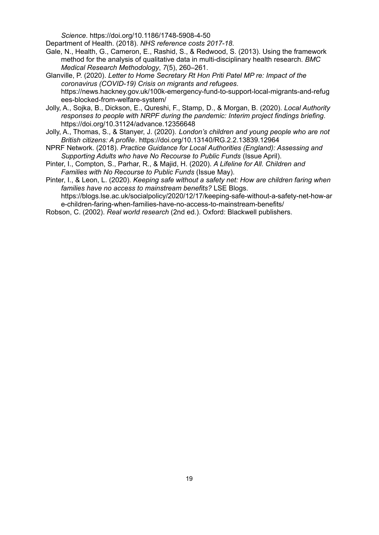*Science*. https://doi.org/10.1186/1748-5908-4-50

Department of Health. (2018). *NHS reference costs 2017-18*.

- Gale, N., Health, G., Cameron, E., Rashid, S., & Redwood, S. (2013). Using the framework method for the analysis of qualitative data in multi-disciplinary health research. *BMC Medical Research Methodology*, *7*(5), 260–261.
- Glanville, P. (2020). *Letter to Home Secretary Rt Hon Priti Patel MP re: Impact of the coronavirus (COVID-19) Crisis on migrants and refugees*. https://news.hackney.gov.uk/100k-emergency-fund-to-support-local-migrants-and-refug ees-blocked-from-welfare-system/
- Jolly, A., Sojka, B., Dickson, E., Qureshi, F., Stamp, D., & Morgan, B. (2020). *Local Authority responses to people with NRPF during the pandemic: Interim project findings briefing*. https://doi.org/10.31124/advance.12356648
- Jolly, A., Thomas, S., & Stanyer, J. (2020). *London's children and young people who are not British citizens: A profile*. https://doi.org/10.13140/RG.2.2.13839.12964
- NPRF Network. (2018). *Practice Guidance for Local Authorities (England): Assessing and Supporting Adults who have No Recourse to Public Funds* (Issue April).
- Pinter, I., Compton, S., Parhar, R., & Majid, H. (2020). *A Lifeline for All. Children and Families with No Recourse to Public Funds* (Issue May).
- Pinter, I., & Leon, L. (2020). *Keeping safe without a safety net: How are children faring when families have no access to mainstream benefits?* LSE Blogs. https://blogs.lse.ac.uk/socialpolicy/2020/12/17/keeping-safe-without-a-safety-net-how-ar e-children-faring-when-families-have-no-access-to-mainstream-benefits/
- Robson, C. (2002). *Real world research* (2nd ed.). Oxford: Blackwell publishers.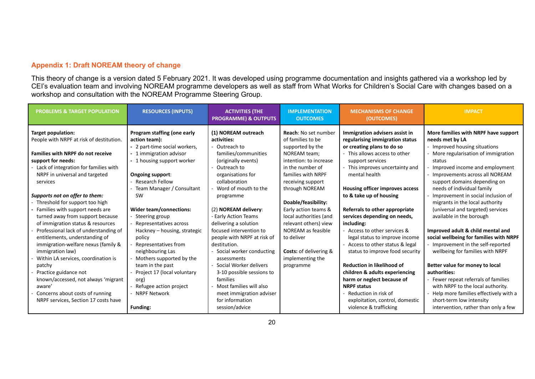# **Appendix 1: Draft NOREAM theory of change**

This theory of change is a version dated 5 February 2021. It was developed using programme documentation and insights gathered via a workshop led by CEI's evaluation team and involving NOREAM programme developers as well as staff from What Works for Children's Social Care with changes based on a workshop and consultation with the NOREAM Programme Steering Group.

<span id="page-19-0"></span>

| <b>PROBLEMS &amp; TARGET POPULATION</b>  | <b>RESOURCES (INPUTS)</b>     | <b>ACTIVITIES (THE</b><br><b>PROGRAMME) &amp; OUTPUTS</b> | <b>IMPLEMENTATION</b><br><b>OUTCOMES</b> | <b>MECHANISMS OF CHANGE</b><br>(OUTCOMES) | <b>IMPACT</b>                           |
|------------------------------------------|-------------------------------|-----------------------------------------------------------|------------------------------------------|-------------------------------------------|-----------------------------------------|
| <b>Target population:</b>                | Program staffing (one early   | (1) NOREAM outreach                                       | <b>Reach: No set number</b>              | Immigration advisers assist in            | More families with NRPF have support    |
| People with NRPF at risk of destitution. | action team):                 | activities:                                               | of families to be                        | regularising immigration status           | needs met by LA                         |
|                                          | - 2 part-time social workers, | - Outreach to                                             | supported by the                         | or creating plans to do so                | - Improved housing situations           |
| <b>Families with NRPF do not receive</b> | 1 immigration advisor         | families/communities                                      | NOREAM team:                             | This allows access to other               | More regularisation of immigration      |
| support for needs:                       | - 1 housing support worker    | (originally events)                                       | intention: to increase                   | support services                          | status                                  |
| Lack of integration for families with    |                               | Outreach to                                               | in the number of                         | - This improves uncertainty and           | Improved income and employment          |
| NRPF in universal and targeted           | Ongoing support:              | organisations for                                         | families with NRPF                       | mental health                             | - Improvements across all NOREAM        |
| services                                 | Research Fellow               | collaboration                                             | receiving support                        |                                           | support domains depending on            |
|                                          | Team Manager / Consultant     | Word of mouth to the                                      | through NOREAM                           | <b>Housing officer improves access</b>    | needs of individual family              |
| Supports not on offer to them:           | <b>SW</b>                     | programme                                                 |                                          | to & take up of housing                   | Improvement in social inclusion of      |
| Threshold for support too high           |                               |                                                           | Doable/feasibility:                      |                                           | migrants in the local authority         |
| Families with support needs are          | Wider team/connections:       | (2) NOREAM delivery:                                      | Early action teams &                     | Referrals to other appropriate            | (universal and targeted) services       |
| turned away from support because         | Steering group                | - Early Action Teams                                      | local authorities (and                   | services depending on needs,              | available in the borough                |
| of immigration status & resources        | Representatives across        | delivering a solution                                     | relevant others) view                    | including:                                |                                         |
| Professional lack of understanding of    | Hackney – housing, strategic  | focused intervention to                                   | NOREAM as feasible                       | - Access to other services &              | Improved adult & child mental and       |
| entitlements, understanding of           | policy                        | people with NRPF at risk of                               | to deliver                               | legal status to improve income            | social wellbeing for families with NRPF |
| immigration-welfare nexus (family &      | Representatives from          | destitution.                                              |                                          | Access to other status & legal            | - Improvement in the self-reported      |
| immigration law)                         | neighbouring Las              | - Social worker conducting                                | Costs: of delivering &                   | status to improve food security           | wellbeing for families with NRPF        |
| Within LA services, coordination is      | Mothers supported by the      | assessments                                               | implementing the                         |                                           |                                         |
| patchy                                   | team in the past              | Social Worker delivers                                    | programme                                | <b>Reduction in likelihood of</b>         | Better value for money to local         |
| Practice guidance not                    | Project 17 (local voluntary   | 3-10 possible sessions to                                 |                                          | children & adults experiencing            | authorities:                            |
| known/accessed, not always 'migrant      | org)                          | families                                                  |                                          | harm or neglect because of                | - Fewer repeat referrals of families    |
| aware'                                   | Refugee action project        | Most families will also                                   |                                          | <b>NRPF status</b>                        | with NRPF to the local authority.       |
| Concerns about costs of running          | <b>NRPF Network</b>           | meet immigration adviser                                  |                                          | Reduction in risk of                      | Help more families effectively with a   |
| NRPF services, Section 17 costs have     |                               | for information                                           |                                          | exploitation, control, domestic           | short-term low intensity                |
|                                          | <b>Funding:</b>               | session/advice                                            |                                          | violence & trafficking                    | intervention, rather than only a few    |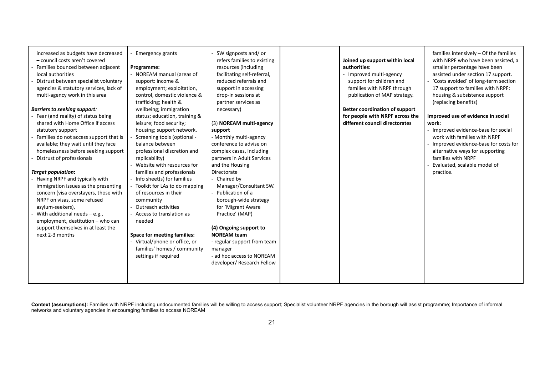| increased as budgets have decreased<br>- council costs aren't covered<br>Families bounced between adjacent<br>local authorities<br>Distrust between specialist voluntary<br>agencies & statutory services, lack of<br>multi-agency work in this area<br><b>Barriers to seeking support:</b><br>Fear (and reality) of status being<br>shared with Home Office if access<br>statutory support<br>Families do not access support that is<br>available; they wait until they face<br>homelessness before seeking support<br>Distrust of professionals<br><b>Target population:</b><br>Having NRPF and typically with<br>immigration issues as the presenting<br>concern (visa overstayers, those with<br>NRPF on visas, some refused<br>asylum-seekers),<br>With additional needs $-$ e.g.,<br>employment, destitution - who can<br>support themselves in at least the<br>next 2-3 months | <b>Emergency grants</b><br>Programme:<br>- NOREAM manual (areas of<br>support: income &<br>employment; exploitation,<br>control, domestic violence &<br>trafficking; health &<br>wellbeing; immigration<br>status; education, training &<br>leisure; food security;<br>housing; support network.<br>Screening tools (optional -<br>balance between<br>professional discretion and<br>replicability)<br>- Website with resources for<br>families and professionals<br>Info sheet(s) for families<br>Toolkit for LAs to do mapping<br>of resources in their<br>community<br>Outreach activities<br>- Access to translation as<br>needed<br><b>Space for meeting families:</b><br>- Virtual/phone or office, or<br>families' homes / community<br>settings if required | SW signposts and/or<br>refers families to existing<br>resources (including<br>facilitating self-referral,<br>reduced referrals and<br>support in accessing<br>drop-in sessions at<br>partner services as<br>necessary)<br>(3) NOREAM multi-agency<br>support<br>- Monthly multi-agency<br>conference to advise on<br>complex cases, including<br>partners in Adult Services<br>and the Housing<br>Directorate<br>- Chaired by<br>Manager/Consultant SW.<br>Publication of a<br>borough-wide strategy<br>for 'Migrant Aware<br>Practice' (MAP)<br>(4) Ongoing support to<br><b>NOREAM team</b><br>- regular support from team<br>manager<br>- ad hoc access to NOREAM<br>developer/ Research Fellow |  | Joined up support within local<br>authorities:<br>- Improved multi-agency<br>support for children and<br>families with NRPF through<br>publication of MAP strategy.<br><b>Better coordination of support</b><br>for people with NRPF across the<br>different council directorates | families intensively - Of the families<br>with NRPF who have been assisted, a<br>smaller percentage have been<br>assisted under section 17 support.<br>- 'Costs avoided' of long-term section<br>17 support to families with NRPF:<br>housing & subsistence support<br>(replacing benefits)<br>Improved use of evidence in social<br>work:<br>- Improved evidence-base for social<br>work with families with NRPF<br>- Improved evidence-base for costs for<br>alternative ways for supporting<br>families with NRPF<br>Evaluated, scalable model of<br>practice. |
|---------------------------------------------------------------------------------------------------------------------------------------------------------------------------------------------------------------------------------------------------------------------------------------------------------------------------------------------------------------------------------------------------------------------------------------------------------------------------------------------------------------------------------------------------------------------------------------------------------------------------------------------------------------------------------------------------------------------------------------------------------------------------------------------------------------------------------------------------------------------------------------|---------------------------------------------------------------------------------------------------------------------------------------------------------------------------------------------------------------------------------------------------------------------------------------------------------------------------------------------------------------------------------------------------------------------------------------------------------------------------------------------------------------------------------------------------------------------------------------------------------------------------------------------------------------------------------------------------------------------------------------------------------------------|----------------------------------------------------------------------------------------------------------------------------------------------------------------------------------------------------------------------------------------------------------------------------------------------------------------------------------------------------------------------------------------------------------------------------------------------------------------------------------------------------------------------------------------------------------------------------------------------------------------------------------------------------------------------------------------------------|--|-----------------------------------------------------------------------------------------------------------------------------------------------------------------------------------------------------------------------------------------------------------------------------------|-------------------------------------------------------------------------------------------------------------------------------------------------------------------------------------------------------------------------------------------------------------------------------------------------------------------------------------------------------------------------------------------------------------------------------------------------------------------------------------------------------------------------------------------------------------------|
|---------------------------------------------------------------------------------------------------------------------------------------------------------------------------------------------------------------------------------------------------------------------------------------------------------------------------------------------------------------------------------------------------------------------------------------------------------------------------------------------------------------------------------------------------------------------------------------------------------------------------------------------------------------------------------------------------------------------------------------------------------------------------------------------------------------------------------------------------------------------------------------|---------------------------------------------------------------------------------------------------------------------------------------------------------------------------------------------------------------------------------------------------------------------------------------------------------------------------------------------------------------------------------------------------------------------------------------------------------------------------------------------------------------------------------------------------------------------------------------------------------------------------------------------------------------------------------------------------------------------------------------------------------------------|----------------------------------------------------------------------------------------------------------------------------------------------------------------------------------------------------------------------------------------------------------------------------------------------------------------------------------------------------------------------------------------------------------------------------------------------------------------------------------------------------------------------------------------------------------------------------------------------------------------------------------------------------------------------------------------------------|--|-----------------------------------------------------------------------------------------------------------------------------------------------------------------------------------------------------------------------------------------------------------------------------------|-------------------------------------------------------------------------------------------------------------------------------------------------------------------------------------------------------------------------------------------------------------------------------------------------------------------------------------------------------------------------------------------------------------------------------------------------------------------------------------------------------------------------------------------------------------------|

Context (assumptions): Families with NRPF including undocumented families will be willing to access support; Specialist volunteer NRPF agencies in the borough will assist programme; Importance of informal networks and voluntary agencies in encouraging families to access NOREAM